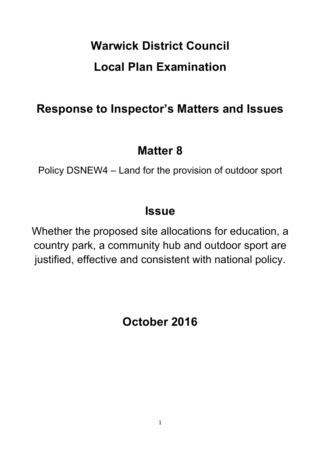# **Warwick District Council Local Plan Examination**

## **Response to Inspector's Matters and Issues**

### **Matter 8**

Policy DSNEW4 – Land for the provision of outdoor sport

### **Issue**

Whether the proposed site allocations for education, a country park, a community hub and outdoor sport are justified, effective and consistent with national policy.

**October 2016**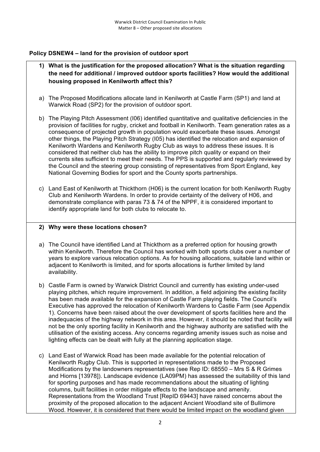#### **Policy DSNEW4 – land for the provision of outdoor sport**

- **1) What is the justification for the proposed allocation? What is the situation regarding the need for additional / improved outdoor sports facilities? How would the additional housing proposed in Kenilworth affect this?**
- a) The Proposed Modifications allocate land in Kenilworth at Castle Farm (SP1) and land at Warwick Road (SP2) for the provision of outdoor sport.
- b) The Playing Pitch Assessment (I06) identified quantitative and qualitative deficiencies in the provision of facilities for rugby, cricket and football in Kenilworth. Team generation rates as a consequence of projected growth in population would exacerbate these issues. Amongst other things, the Playing Pitch Strategy (I05) has identified the relocation and expansion of Kenilworth Wardens and Kenilworth Rugby Club as ways to address these issues. It is considered that neither club has the ability to improve pitch quality or expand on their currents sites sufficient to meet their needs. The PPS is supported and regularly reviewed by the Council and the steering group consisting of representatives from Sport England, key National Governing Bodies for sport and the County sports partnerships.
- c) Land East of Kenilworth at Thickthorn (H06) is the current location for both Kenilworth Rugby Club and Kenilworth Wardens. In order to provide certainty of the delivery of H06, and demonstrate compliance with paras 73 & 74 of the NPPF, it is considered important to identify appropriate land for both clubs to relocate to.

#### **2) Why were these locations chosen?**

- a) The Council have identified Land at Thickthorn as a preferred option for housing growth within Kenilworth. Therefore the Council has worked with both sports clubs over a number of years to explore various relocation options. As for housing allocations, suitable land within or adjacent to Kenilworth is limited, and for sports allocations is further limited by land availability.
- b) Castle Farm is owned by Warwick District Council and currently has existing under-used playing pitches, which require improvement. In addition, a field adjoining the existing facility has been made available for the expansion of Castle Farm playing fields. The Council's Executive has approved the relocation of Kenilworth Wardens to Castle Farm (see Appendix 1). Concerns have been raised about the over development of sports facilities here and the inadequacies of the highway network in this area. However, it should be noted that facility will not be the only sporting facility in Kenilworth and the highway authority are satisfied with the utilisation of the existing access. Any concerns regarding amenity issues such as noise and lighting effects can be dealt with fully at the planning application stage.
- c) Land East of Warwick Road has been made available for the potential relocation of Kenilworth Rugby Club. This is supported in representations made to the Proposed Modifications by the landowners representatives (see Rep ID: 68550 – Mrs S & R Grimes and Hiorns [13978]). Landscape evidence (LA09PM) has assessed the suitability of this land for sporting purposes and has made recommendations about the situating of lighting columns, built facilities in order mitigate effects to the landscape and amenity. Representations from the Woodland Trust [RepID 69443] have raised concerns about the proximity of the proposed allocation to the adjacent Ancient Woodland site of Bullimore Wood. However, it is considered that there would be limited impact on the woodland given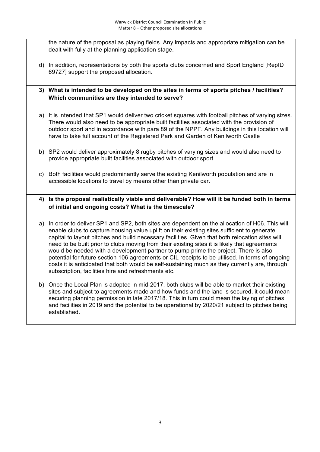the nature of the proposal as playing fields. Any impacts and appropriate mitigation can be dealt with fully at the planning application stage.

- d) In addition, representations by both the sports clubs concerned and Sport England [RepID 69727] support the proposed allocation.
- **3) What is intended to be developed on the sites in terms of sports pitches / facilities? Which communities are they intended to serve?**
- a) It is intended that SP1 would deliver two cricket squares with football pitches of varying sizes. There would also need to be appropriate built facilities associated with the provision of outdoor sport and in accordance with para 89 of the NPPF. Any buildings in this location will have to take full account of the Registered Park and Garden of Kenilworth Castle
- b) SP2 would deliver approximately 8 rugby pitches of varying sizes and would also need to provide appropriate built facilities associated with outdoor sport.
- c) Both facilities would predominantly serve the existing Kenilworth population and are in accessible locations to travel by means other than private car.

#### **4) Is the proposal realistically viable and deliverable? How will it be funded both in terms of initial and ongoing costs? What is the timescale?**

- a) In order to deliver SP1 and SP2, both sites are dependent on the allocation of H06. This will enable clubs to capture housing value uplift on their existing sites sufficient to generate capital to layout pitches and build necessary facilities. Given that both relocation sites will need to be built prior to clubs moving from their existing sites it is likely that agreements would be needed with a development partner to pump prime the project. There is also potential for future section 106 agreements or CIL receipts to be utilised. In terms of ongoing costs it is anticipated that both would be self-sustaining much as they currently are, through subscription, facilities hire and refreshments etc.
- b) Once the Local Plan is adopted in mid-2017, both clubs will be able to market their existing sites and subject to agreements made and how funds and the land is secured, it could mean securing planning permission in late 2017/18. This in turn could mean the laying of pitches and facilities in 2019 and the potential to be operational by 2020/21 subject to pitches being established.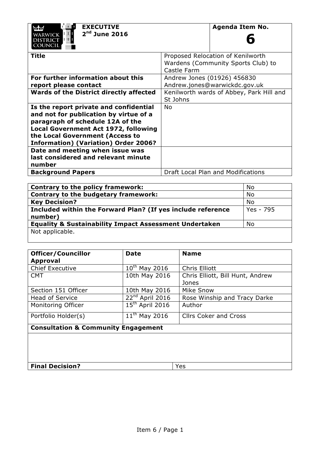| ಟೆಡಿ            |  |  |
|-----------------|--|--|
| <b>WARWICK</b>  |  |  |
| <b>DISTRICT</b> |  |  |
| COUNCIL         |  |  |

**6**

| Title                                       | Proposed Relocation of Kenilworth        |  |
|---------------------------------------------|------------------------------------------|--|
|                                             | Wardens (Community Sports Club) to       |  |
|                                             | Castle Farm                              |  |
| For further information about this          | Andrew Jones (01926) 456830              |  |
| report please contact                       | Andrew.jones@warwickdc.gov.uk            |  |
| Wards of the District directly affected     | Kenilworth wards of Abbey, Park Hill and |  |
|                                             | St Johns                                 |  |
| Is the report private and confidential      | No                                       |  |
| and not for publication by virtue of a      |                                          |  |
| paragraph of schedule 12A of the            |                                          |  |
| <b>Local Government Act 1972, following</b> |                                          |  |
| the Local Government (Access to             |                                          |  |
| <b>Information) (Variation) Order 2006?</b> |                                          |  |
| Date and meeting when issue was             |                                          |  |
| last considered and relevant minute         |                                          |  |
| number                                      |                                          |  |
| <b>Background Papers</b>                    | Draft Local Plan and Modifications       |  |

| <b>Contrary to the policy framework:</b>                          | No        |
|-------------------------------------------------------------------|-----------|
| Contrary to the budgetary framework:                              | No        |
| <b>Key Decision?</b>                                              | No        |
| Included within the Forward Plan? (If yes include reference       | Yes - 795 |
| number)                                                           |           |
| <b>Equality &amp; Sustainability Impact Assessment Undertaken</b> | No        |
| Not applicable.                                                   |           |
|                                                                   |           |

| <b>Officer/Councillor</b>                      | <b>Date</b>          | <b>Name</b>                      |  |  |
|------------------------------------------------|----------------------|----------------------------------|--|--|
| <b>Approval</b>                                |                      |                                  |  |  |
| <b>Chief Executive</b>                         | $10^{th}$ May 2016   | <b>Chris Elliott</b>             |  |  |
| <b>CMT</b>                                     | 10th May 2016        | Chris Elliott, Bill Hunt, Andrew |  |  |
|                                                |                      | Jones                            |  |  |
| Section 151 Officer                            | 10th May 2016        | Mike Snow                        |  |  |
| Head of Service                                | $22^{nd}$ April 2016 | Rose Winship and Tracy Darke     |  |  |
| Monitoring Officer                             | $15th$ April 2016    | Author                           |  |  |
| Portfolio Holder(s)                            | $11^{th}$ May 2016   | <b>Clirs Coker and Cross</b>     |  |  |
| <b>Consultation &amp; Community Engagement</b> |                      |                                  |  |  |
|                                                |                      |                                  |  |  |
|                                                |                      |                                  |  |  |
|                                                |                      |                                  |  |  |
| <b>Final Decision?</b>                         |                      | Yes                              |  |  |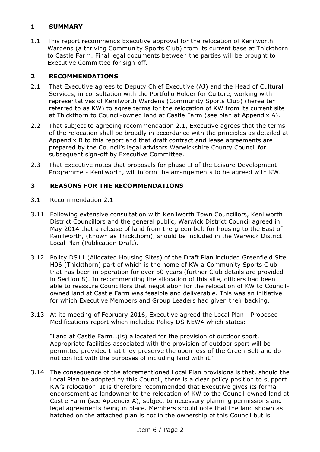#### **1 SUMMARY**

1.1 This report recommends Executive approval for the relocation of Kenilworth Wardens (a thriving Community Sports Club) from its current base at Thickthorn to Castle Farm. Final legal documents between the parties will be brought to Executive Committee for sign-off.

#### **2 RECOMMENDATIONS**

- 2.1 That Executive agrees to Deputy Chief Executive (AJ) and the Head of Cultural Services, in consultation with the Portfolio Holder for Culture, working with representatives of Kenilworth Wardens (Community Sports Club) (hereafter referred to as KW) to agree terms for the relocation of KW from its current site at Thickthorn to Council-owned land at Castle Farm (see plan at Appendix A).
- 2.2 That subiect to agreeing recommendation 2.1, Executive agrees that the terms of the relocation shall be broadly in accordance with the principles as detailed at Appendix B to this report and that draft contract and lease agreements are prepared by the Council's legal advisors Warwickshire County Council for subsequent sign-off by Executive Committee.
- 2.3 That Executive notes that proposals for phase II of the Leisure Development Programme - Kenilworth, will inform the arrangements to be agreed with KW.

#### **3 REASONS FOR THE RECOMMENDATIONS**

- 3.1 Recommendation 2.1
- 3.11 Following extensive consultation with Kenilworth Town Councillors, Kenilworth District Councillors and the general public, Warwick District Council agreed in May 2014 that a release of land from the green belt for housing to the East of Kenilworth, (known as Thickthorn), should be included in the Warwick District Local Plan (Publication Draft).
- 3.12 Policy DS11 (Allocated Housing Sites) of the Draft Plan included Greenfield Site H06 (Thickthorn) part of which is the home of KW a Community Sports Club that has been in operation for over 50 years (further Club details are provided in Section 8). In recommending the allocation of this site, officers had been able to reassure Councillors that negotiation for the relocation of KW to Councilowned land at Castle Farm was feasible and deliverable. This was an initiative for which Executive Members and Group Leaders had given their backing.
- 3.13 At its meeting of February 2016, Executive agreed the Local Plan Proposed Modifications report which included Policy DS NEW4 which states:

"Land at Castle Farm…(is) allocated for the provision of outdoor sport. Appropriate facilities associated with the provision of outdoor sport will be permitted provided that they preserve the openness of the Green Belt and do not conflict with the purposes of including land with it."

3.14 The consequence of the aforementioned Local Plan provisions is that, should the Local Plan be adopted by this Council, there is a clear policy position to support KW's relocation. It is therefore recommended that Executive gives its formal endorsement as landowner to the relocation of KW to the Council-owned land at Castle Farm (see Appendix A), subject to necessary planning permissions and legal agreements being in place. Members should note that the land shown as hatched on the attached plan is not in the ownership of this Council but is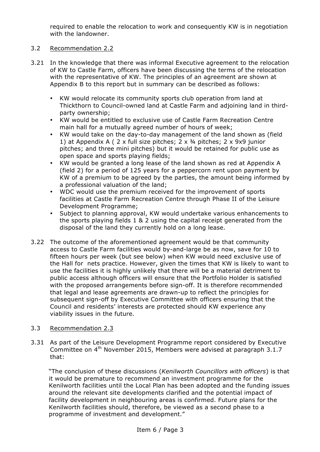required to enable the relocation to work and consequently KW is in negotiation with the landowner.

#### 3.2 Recommendation 2.2

- 3.21 In the knowledge that there was informal Executive agreement to the relocation of KW to Castle Farm, officers have been discussing the terms of the relocation with the representative of KW. The principles of an agreement are shown at Appendix B to this report but in summary can be described as follows:
	- KW would relocate its community sports club operation from land at Thickthorn to Council-owned land at Castle Farm and adjoining land in thirdparty ownership;
	- KW would be entitled to exclusive use of Castle Farm Recreation Centre main hall for a mutually agreed number of hours of week;
	- KW would take on the day-to-day management of the land shown as (field 1) at Appendix A (  $2 \times$  full size pitches;  $2 \times$  3/4 pitches;  $2 \times$  9x9 junior pitches; and three mini pitches) but it would be retained for public use as open space and sports playing fields;
	- KW would be granted a long lease of the land shown as red at Appendix A (field 2) for a period of 125 years for a peppercorn rent upon payment by KW of a premium to be agreed by the parties, the amount being informed by a professional valuation of the land;
	- WDC would use the premium received for the improvement of sports facilities at Castle Farm Recreation Centre through Phase II of the Leisure Development Programme;
	- Subject to planning approval, KW would undertake various enhancements to the sports playing fields 1 & 2 using the capital receipt generated from the disposal of the land they currently hold on a long lease.
- 3.22 The outcome of the aforementioned agreement would be that community access to Castle Farm facilities would by-and-large be as now, save for 10 to fifteen hours per week (but see below) when KW would need exclusive use of the Hall for nets practice. However, given the times that KW is likely to want to use the facilities it is highly unlikely that there will be a material detriment to public access although officers will ensure that the Portfolio Holder is satisfied with the proposed arrangements before sign-off. It is therefore recommended that legal and lease agreements are drawn-up to reflect the principles for subsequent sign-off by Executive Committee with officers ensuring that the Council and residents' interests are protected should KW experience any viability issues in the future.

#### 3.3 Recommendation 2.3

3.31 As part of the Leisure Development Programme report considered by Executive Committee on 4<sup>th</sup> November 2015, Members were advised at paragraph 3.1.7 that:

"The conclusion of these discussions (*Kenilworth Councillors with officers*) is that it would be premature to recommend an investment programme for the Kenilworth facilities until the Local Plan has been adopted and the funding issues around the relevant site developments clarified and the potential impact of facility development in neighbouring areas is confirmed. Future plans for the Kenilworth facilities should, therefore, be viewed as a second phase to a programme of investment and development."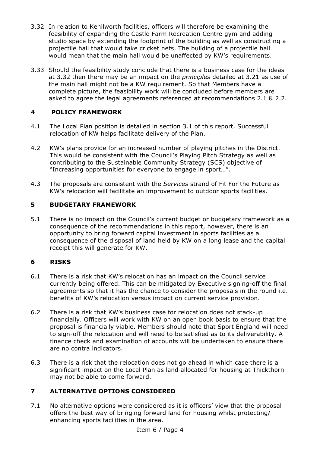- 3.32 In relation to Kenilworth facilities, officers will therefore be examining the feasibility of expanding the Castle Farm Recreation Centre gym and adding studio space by extending the footprint of the building as well as constructing a projectile hall that would take cricket nets. The building of a projectile hall would mean that the main hall would be unaffected by KW's requirements.
- 3.33 Should the feasibility study conclude that there is a business case for the ideas at 3.32 then there may be an impact on the *principles* detailed at 3.21 as use of the main hall might not be a KW requirement. So that Members have a complete picture, the feasibility work will be concluded before members are asked to agree the legal agreements referenced at recommendations 2.1 & 2.2.

#### **4 POLICY FRAMEWORK**

- 4.1 The Local Plan position is detailed in section 3.1 of this report. Successful relocation of KW helps facilitate delivery of the Plan.
- 4.2 KW's plans provide for an increased number of playing pitches in the District. This would be consistent with the Council's Playing Pitch Strategy as well as contributing to the Sustainable Community Strategy (SCS) objective of "Increasing opportunities for everyone to engage in sport…".
- 4.3 The proposals are consistent with the *Services* strand of Fit For the Future as KW's relocation will facilitate an improvement to outdoor sports facilities.

#### **5 BUDGETARY FRAMEWORK**

5.1 There is no impact on the Council's current budget or budgetary framework as a consequence of the recommendations in this report, however, there is an opportunity to bring forward capital investment in sports facilities as a consequence of the disposal of land held by KW on a long lease and the capital receipt this will generate for KW.

#### **6 RISKS**

- 6.1 There is a risk that KW's relocation has an impact on the Council service currently being offered. This can be mitigated by Executive signing-off the final agreements so that it has the chance to consider the proposals in the round i.e. benefits of KW's relocation versus impact on current service provision.
- 6.2 There is a risk that KW's business case for relocation does not stack-up financially. Officers will work with KW on an open book basis to ensure that the proposal is financially viable. Members should note that Sport England will need to sign-off the relocation and will need to be satisfied as to its deliverability. A finance check and examination of accounts will be undertaken to ensure there are no contra indicators.
- 6.3 There is a risk that the relocation does not go ahead in which case there is a significant impact on the Local Plan as land allocated for housing at Thickthorn may not be able to come forward.

#### **7 ALTERNATIVE OPTIONS CONSIDERED**

7.1 No alternative options were considered as it is officers' view that the proposal offers the best way of bringing forward land for housing whilst protecting/ enhancing sports facilities in the area.